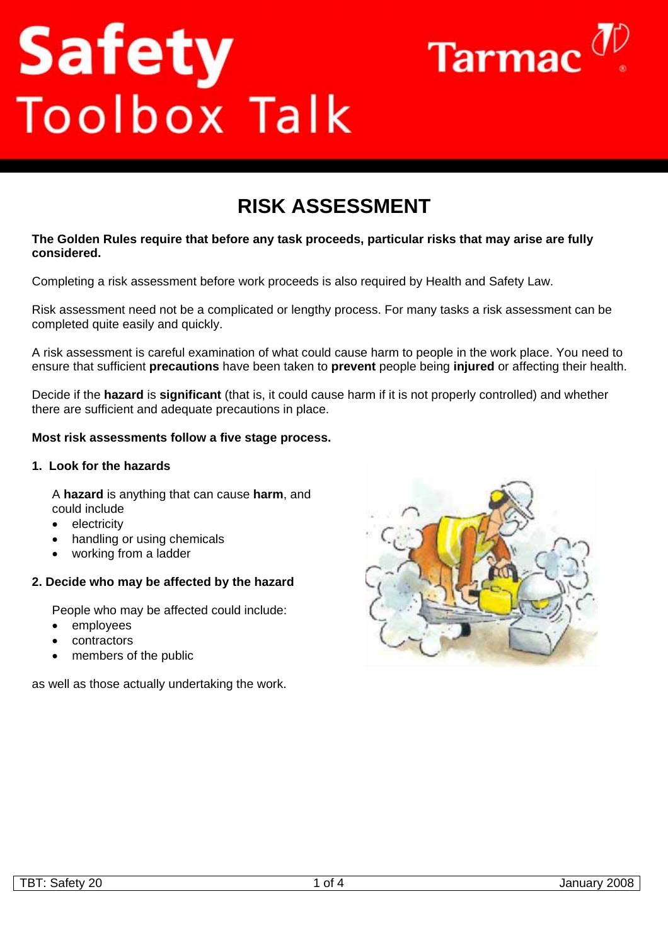# **Safety**<br>Toolbox Talk



# **RISK ASSESSMENT**

### **The Golden Rules require that before any task proceeds, particular risks that may arise are fully considered.**

Completing a risk assessment before work proceeds is also required by Health and Safety Law.

Risk assessment need not be a complicated or lengthy process. For many tasks a risk assessment can be completed quite easily and quickly.

A risk assessment is careful examination of what could cause harm to people in the work place. You need to ensure that sufficient **precautions** have been taken to **prevent** people being **injured** or affecting their health.

Decide if the **hazard** is **significant** (that is, it could cause harm if it is not properly controlled) and whether there are sufficient and adequate precautions in place.

### **Most risk assessments follow a five stage process.**

### **1. Look for the hazards**

A **hazard** is anything that can cause **harm**, and could include

- electricity
- handling or using chemicals
- working from a ladder

### **2. Decide who may be affected by the hazard**

People who may be affected could include:

- employees
- **contractors**
- members of the public

as well as those actually undertaking the work.

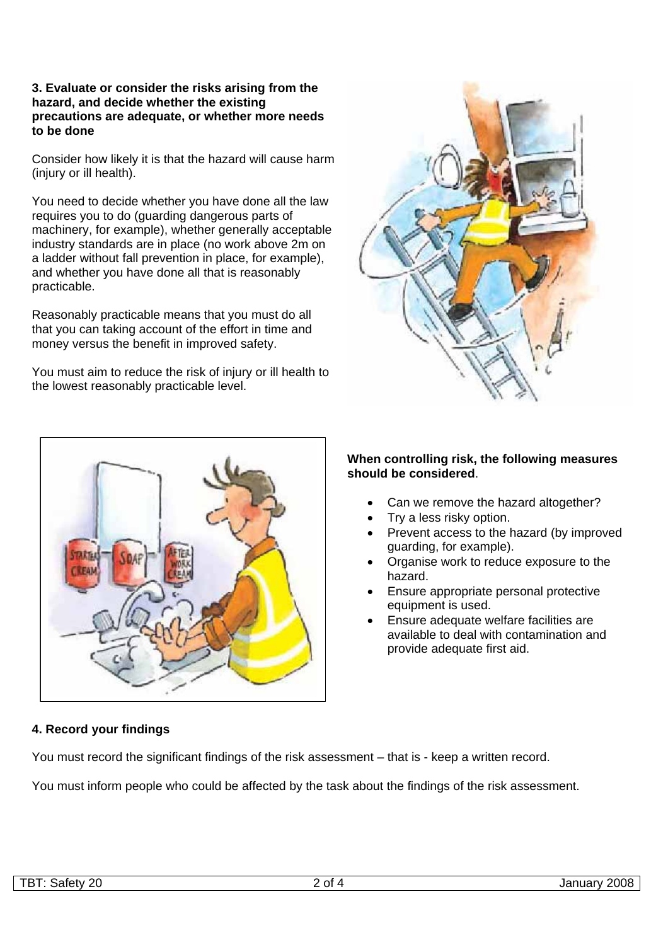### **3. Evaluate or consider the risks arising from the hazard, and decide whether the existing precautions are adequate, or whether more needs to be done**

Consider how likely it is that the hazard will cause harm (injury or ill health).

You need to decide whether you have done all the law requires you to do (guarding dangerous parts of machinery, for example), whether generally acceptable industry standards are in place (no work above 2m on a ladder without fall prevention in place, for example), and whether you have done all that is reasonably practicable.

Reasonably practicable means that you must do all that you can taking account of the effort in time and money versus the benefit in improved safety.

You must aim to reduce the risk of injury or ill health to the lowest reasonably practicable level.





### **When controlling risk, the following measures should be considered**.

- Can we remove the hazard altogether?
- Try a less risky option.
- Prevent access to the hazard (by improved guarding, for example).
- Organise work to reduce exposure to the hazard.
- Ensure appropriate personal protective equipment is used.
- Ensure adequate welfare facilities are available to deal with contamination and provide adequate first aid.

# **4. Record your findings**

You must record the significant findings of the risk assessment – that is - keep a written record.

You must inform people who could be affected by the task about the findings of the risk assessment.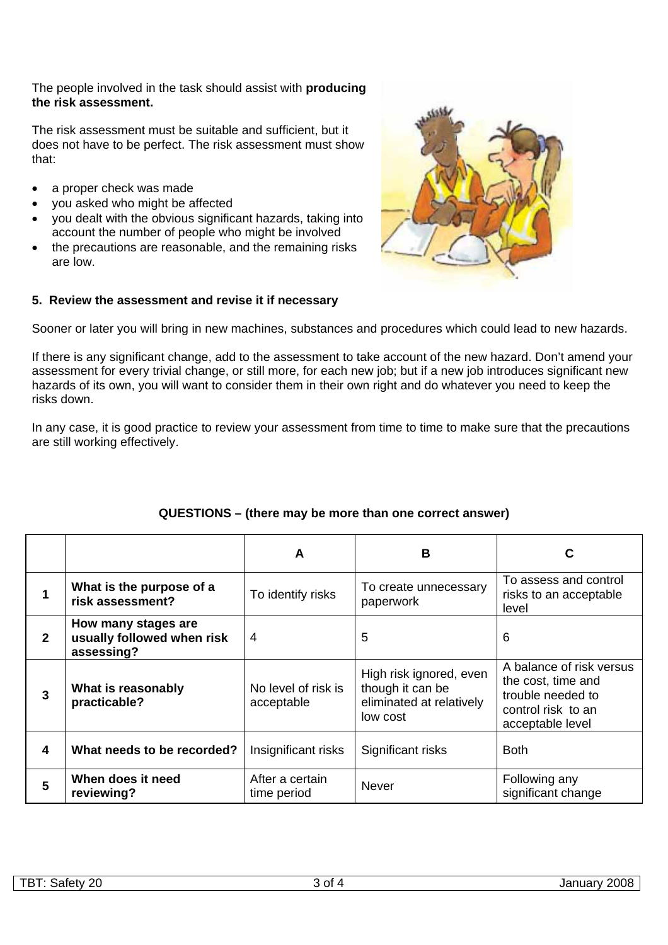The people involved in the task should assist with **producing the risk assessment.** 

The risk assessment must be suitable and sufficient, but it does not have to be perfect. The risk assessment must show that:

- a proper check was made
- you asked who might be affected
- you dealt with the obvious significant hazards, taking into account the number of people who might be involved
- the precautions are reasonable, and the remaining risks are low.





Sooner or later you will bring in new machines, substances and procedures which could lead to new hazards.

If there is any significant change, add to the assessment to take account of the new hazard. Don't amend your assessment for every trivial change, or still more, for each new job; but if a new job introduces significant new hazards of its own, you will want to consider them in their own right and do whatever you need to keep the risks down.

In any case, it is good practice to review your assessment from time to time to make sure that the precautions are still working effectively.

|              |                                                                 | A                                 | B                                                                                   |                                                                                                               |
|--------------|-----------------------------------------------------------------|-----------------------------------|-------------------------------------------------------------------------------------|---------------------------------------------------------------------------------------------------------------|
| 1            | What is the purpose of a<br>risk assessment?                    | To identify risks                 | To create unnecessary<br>paperwork                                                  | To assess and control<br>risks to an acceptable<br>level                                                      |
| $\mathbf{2}$ | How many stages are<br>usually followed when risk<br>assessing? | 4                                 | 5                                                                                   | 6                                                                                                             |
| 3            | What is reasonably<br>practicable?                              | No level of risk is<br>acceptable | High risk ignored, even<br>though it can be<br>eliminated at relatively<br>low cost | A balance of risk versus<br>the cost, time and<br>trouble needed to<br>control risk to an<br>acceptable level |
| 4            | What needs to be recorded?                                      | Insignificant risks               | Significant risks                                                                   | <b>Both</b>                                                                                                   |
| 5            | When does it need<br>reviewing?                                 | After a certain<br>time period    | <b>Never</b>                                                                        | Following any<br>significant change                                                                           |

# **QUESTIONS – (there may be more than one correct answer)**